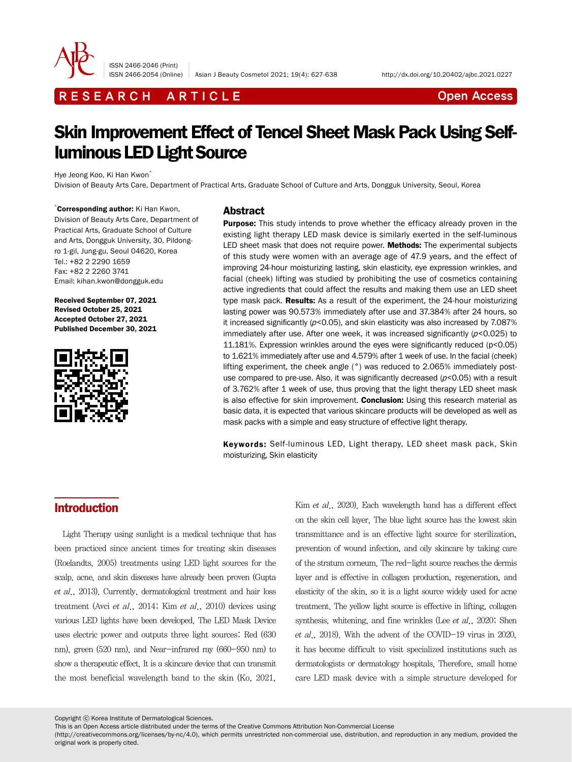

ISSN 2466-2046 (Print)

## R E S E A R C H A R T I C L E CHE COME CONTROLLER CONTROLLER CONTROLLER CONTROLLER CONTROLLER CONTROLLER CONTROLLER CONTROLLER CONTROLLER CONTROLLER CONTROLLER CONTROLLER CONTROLLER CONTROLLER CONTROLLER CONTROLLER CONTROL

# Skin Improvement Effect of Tencel Sheet Mask Pack Using Selfluminous LED Light Source

Hye Jeong Koo, Ki Han Kwon\*

Division of Beauty Arts Care, Department of Practical Arts, Graduate School of Culture and Arts, Dongguk University, Seoul, Korea

\* Corresponding author: Ki Han Kwon, Division of Beauty Arts Care, Department of Practical Arts, Graduate School of Culture and Arts, Dongguk University, 30, Pildongro 1-gil, Jung-gu, Seoul 04620, Korea Tel.: +82 2 2290 1659 Fax: +82 2 2260 3741 Email: kihan.kwon@dongguk.edu

Received September 07, 2021 Revised October 25, 2021 Accepted October 27, 2021 Published December 30, 2021



### Abstract

**Purpose:** This study intends to prove whether the efficacy already proven in the existing light therapy LED mask device is similarly exerted in the self-luminous LED sheet mask that does not require power. Methods: The experimental subjects of this study were women with an average age of 47.9 years, and the effect of improving 24-hour moisturizing lasting, skin elasticity, eye expression wrinkles, and facial (cheek) lifting was studied by prohibiting the use of cosmetics containing active ingredients that could affect the results and making them use an LED sheet type mask pack. Results: As a result of the experiment, the 24-hour moisturizing lasting power was 90.573% immediately after use and 37.384% after 24 hours, so it increased significantly  $(p<0.05)$ , and skin elasticity was also increased by 7.087% immediately after use. After one week, it was increased significantly ( $p$ <0.025) to 11.181%. Expression wrinkles around the eyes were significantly reduced (p<0.05) to 1.621% immediately after use and 4.579% after 1 week of use. In the facial (cheek) lifting experiment, the cheek angle (°) was reduced to 2.065% immediately postuse compared to pre-use. Also, it was significantly decreased  $(p<0.05)$  with a result of 3.762% after 1 week of use, thus proving that the light therapy LED sheet mask is also effective for skin improvement. Conclusion: Using this research material as basic data, it is expected that various skincare products will be developed as well as mask packs with a simple and easy structure of effective light therapy.

Keywords: Self-luminous LED, Light therapy, LED sheet mask pack, Skin moisturizing, Skin elasticity

## Introduction

Light Therapy using sunlight is a medical technique that has been practiced since ancient times for treating skin diseases (Roelandts, 2005) treatments using LED light sources for the scalp, acne, and skin diseases have already been proven (Gupta et al., 2013). Currently, dermatological treatment and hair loss treatment (Avci et al., 2014; Kim et al., 2010) devices using various LED lights have been developed. The LED Mask Device uses electric power and outputs three light sources: Red (630 nm), green (520 nm), and Near-infrared ray (660-950 nm) to show a therapeutic effect. It is a skincare device that can transmit the most beneficial wavelength band to the skin (Ko, 2021,

Kim et al., 2020). Each wavelength band has a different effect on the skin cell layer. The blue light source has the lowest skin transmittance and is an effective light source for sterilization, prevention of wound infection, and oily skincare by taking care of the stratum corneum. The red-light source reaches the dermis layer and is effective in collagen production, regeneration, and elasticity of the skin, so it is a light source widely used for acne treatment. The yellow light source is effective in lifting, collagen synthesis, whitening, and fine wrinkles (Lee et al., 2020; Shen et al., 2018). With the advent of the COVID-19 virus in 2020, it has become difficult to visit specialized institutions such as dermatologists or dermatology hospitals. Therefore, small home care LED mask device with a simple structure developed for

Copyright ⓒ Korea Institute of Dermatological Sciences.

This is an Open Access article distributed under the terms of the Creative Commons Attribution Non-Commercial License

(http://creativecommons.org/licenses/by-nc/4.0), which permits unrestricted non-commercial use, distribution, and reproduction in any medium, provided the original work is properly cited.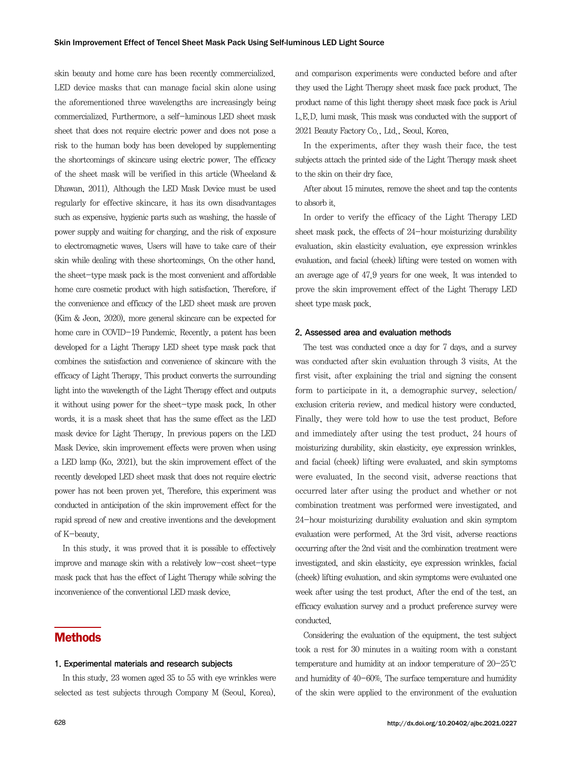skin beauty and home care has been recently commercialized. LED device masks that can manage facial skin alone using the aforementioned three wavelengths are increasingly being commercialized. Furthermore, a self-luminous LED sheet mask sheet that does not require electric power and does not pose a risk to the human body has been developed by supplementing the shortcomings of skincare using electric power. The efficacy of the sheet mask will be verified in this article (Wheeland & Dhawan, 2011). Although the LED Mask Device must be used regularly for effective skincare, it has its own disadvantages such as expensive, hygienic parts such as washing, the hassle of power supply and waiting for charging, and the risk of exposure to electromagnetic waves. Users will have to take care of their skin while dealing with these shortcomings. On the other hand, the sheet-type mask pack is the most convenient and affordable home care cosmetic product with high satisfaction. Therefore, if the convenience and efficacy of the LED sheet mask are proven (Kim & Jeon, 2020), more general skincare can be expected for home care in COVID-19 Pandemic. Recently, a patent has been developed for a Light Therapy LED sheet type mask pack that combines the satisfaction and convenience of skincare with the efficacy of Light Therapy. This product converts the surrounding light into the wavelength of the Light Therapy effect and outputs it without using power for the sheet-type mask pack. In other words, it is a mask sheet that has the same effect as the LED mask device for Light Therapy. In previous papers on the LED Mask Device, skin improvement effects were proven when using a LED lamp (Ko, 2021), but the skin improvement effect of the recently developed LED sheet mask that does not require electric power has not been proven yet. Therefore, this experiment was conducted in anticipation of the skin improvement effect for the rapid spread of new and creative inventions and the development of K-beauty.

In this study, it was proved that it is possible to effectively improve and manage skin with a relatively low-cost sheet-type mask pack that has the effect of Light Therapy while solving the inconvenience of the conventional LED mask device.

## **Methods**

#### 1. Experimental materials and research subjects

In this study, 23 women aged 35 to 55 with eye wrinkles were selected as test subjects through Company M (Seoul, Korea),

In the experiments, after they wash their face, the test subjects attach the printed side of the Light Therapy mask sheet to the skin on their dry face.

After about 15 minutes, remove the sheet and tap the contents to absorb it.

In order to verify the efficacy of the Light Therapy LED sheet mask pack, the effects of 24-hour moisturizing durability evaluation, skin elasticity evaluation, eye expression wrinkles evaluation, and facial (cheek) lifting were tested on women with an average age of 47.9 years for one week. It was intended to prove the skin improvement effect of the Light Therapy LED sheet type mask pack.

#### 2. Assessed area and evaluation methods

The test was conducted once a day for 7 days, and a survey was conducted after skin evaluation through 3 visits. At the first visit, after explaining the trial and signing the consent form to participate in it, a demographic survey, selection/ exclusion criteria review, and medical history were conducted. Finally, they were told how to use the test product. Before and immediately after using the test product, 24 hours of moisturizing durability, skin elasticity, eye expression wrinkles, and facial (cheek) lifting were evaluated, and skin symptoms were evaluated. In the second visit, adverse reactions that occurred later after using the product and whether or not combination treatment was performed were investigated, and 24-hour moisturizing durability evaluation and skin symptom evaluation were performed. At the 3rd visit, adverse reactions occurring after the 2nd visit and the combination treatment were investigated, and skin elasticity, eye expression wrinkles, facial (cheek) lifting evaluation, and skin symptoms were evaluated one week after using the test product. After the end of the test, an efficacy evaluation survey and a product preference survey were conducted.

Considering the evaluation of the equipment, the test subject took a rest for 30 minutes in a waiting room with a constant temperature and humidity at an indoor temperature of 20-25℃ and humidity of 40-60%. The surface temperature and humidity of the skin were applied to the environment of the evaluation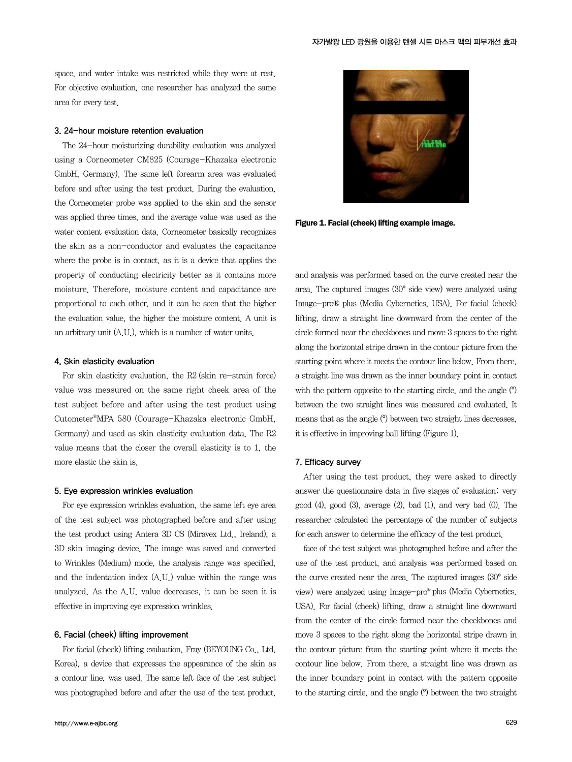space, and water intake was restricted while they were at rest. For objective evaluation, one researcher has analyzed the same area for every test.

#### 3. 24-hour moisture retention evaluation

The 24-hour moisturizing durability evaluation was analyzed using a Corneometer CM825 (Courage-Khazaka electronic GmbH, Germany). The same left forearm area was evaluated before and after using the test product. During the evaluation, the Corneometer probe was applied to the skin and the sensor was applied three times, and the average value was used as the water content evaluation data. Corneometer basically recognizes the skin as a non-conductor and evaluates the capacitance where the probe is in contact, as it is a device that applies the property of conducting electricity better as it contains more moisture. Therefore, moisture content and capacitance are proportional to each other, and it can be seen that the higher the evaluation value, the higher the moisture content. A unit is an arbitrary unit (A.U.), which is a number of water units.

#### 4. Skin elasticity evaluation

For skin elasticity evaluation, the R2 (skin re-strain force) value was measured on the same right cheek area of the test subject before and after using the test product using Cutometer®MPA 580 (Courage-Khazaka electronic GmbH, Germany) and used as skin elasticity evaluation data. The R2 value means that the closer the overall elasticity is to 1, the more elastic the skin is.

#### 5. Eye expression wrinkles evaluation

For eye expression wrinkles evaluation, the same left eye area of the test subject was photographed before and after using the test product using Antera 3D CS (Miravex Ltd., Ireland), a 3D skin imaging device. The image was saved and converted to Wrinkles (Medium) mode, the analysis range was specified, and the indentation index (A.U.) value within the range was analyzed. As the A.U. value decreases, it can be seen it is effective in improving eye expression wrinkles.

#### 6. Facial (cheek) lifting improvement

For facial (cheek) lifting evaluation, Fray (BEYOUNG Co., Ltd, Korea), a device that expresses the appearance of the skin as a contour line, was used. The same left face of the test subject was photographed before and after the use of the test product,



Figure 1. Facial (cheek) lifting example image.

and analysis was performed based on the curve created near the area. The captured images (30° side view) were analyzed using Image-pro® plus (Media Cybernetics, USA). For facial (cheek) lifting, draw a straight line downward from the center of the circle formed near the cheekbones and move 3 spaces to the right along the horizontal stripe drawn in the contour picture from the starting point where it meets the contour line below. From there, a straight line was drawn as the inner boundary point in contact with the pattern opposite to the starting circle, and the angle  $(°)$ between the two straight lines was measured and evaluated. It means that as the angle (°) between two straight lines decreases, it is effective in improving ball lifting (Figure 1).

#### 7. Efficacy survey

After using the test product, they were asked to directly answer the questionnaire data in five stages of evaluation: very good  $(4)$ , good  $(3)$ , average  $(2)$ , bad  $(1)$ , and very bad  $(0)$ . The researcher calculated the percentage of the number of subjects for each answer to determine the efficacy of the test product.

face of the test subject was photographed before and after the use of the test product, and analysis was performed based on the curve created near the area. The captured images (30° side view) were analyzed using Image-pro® plus (Media Cybernetics, USA). For facial (cheek) lifting, draw a straight line downward from the center of the circle formed near the cheekbones and move 3 spaces to the right along the horizontal stripe drawn in the contour picture from the starting point where it meets the contour line below. From there, a straight line was drawn as the inner boundary point in contact with the pattern opposite to the starting circle, and the angle (°) between the two straight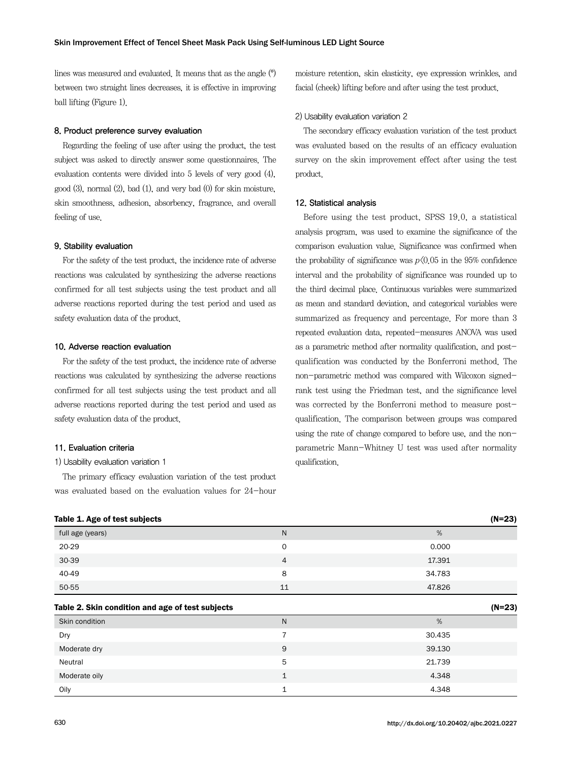lines was measured and evaluated. It means that as the angle (°) between two straight lines decreases, it is effective in improving ball lifting (Figure 1).

#### 8. Product preference survey evaluation

Regarding the feeling of use after using the product, the test subject was asked to directly answer some questionnaires. The evaluation contents were divided into 5 levels of very good (4), good (3), normal (2), bad (1), and very bad (0) for skin moisture, skin smoothness, adhesion, absorbency, fragrance, and overall feeling of use.

#### 9. Stability evaluation

For the safety of the test product, the incidence rate of adverse reactions was calculated by synthesizing the adverse reactions confirmed for all test subjects using the test product and all adverse reactions reported during the test period and used as safety evaluation data of the product.

#### 10. Adverse reaction evaluation

For the safety of the test product, the incidence rate of adverse reactions was calculated by synthesizing the adverse reactions confirmed for all test subjects using the test product and all adverse reactions reported during the test period and used as safety evaluation data of the product.

#### 11. Evaluation criteria

#### 1) Usability evaluation variation 1

The primary efficacy evaluation variation of the test product was evaluated based on the evaluation values for 24-hour moisture retention, skin elasticity, eye expression wrinkles, and facial (cheek) lifting before and after using the test product.

#### 2) Usability evaluation variation 2

The secondary efficacy evaluation variation of the test product was evaluated based on the results of an efficacy evaluation survey on the skin improvement effect after using the test product.

#### 12. Statistical analysis

Before using the test product, SPSS 19.0, a statistical analysis program, was used to examine the significance of the comparison evaluation value. Significance was confirmed when the probability of significance was  $p\langle 0.05 \text{ in the } 95\% \text{ confidence} \rangle$ interval and the probability of significance was rounded up to the third decimal place. Continuous variables were summarized as mean and standard deviation, and categorical variables were summarized as frequency and percentage. For more than 3 repeated evaluation data, repeated-measures ANOVA was used as a parametric method after normality qualification, and postqualification was conducted by the Bonferroni method. The non-parametric method was compared with Wilcoxon signedrank test using the Friedman test, and the significance level was corrected by the Bonferroni method to measure postqualification. The comparison between groups was compared using the rate of change compared to before use, and the nonparametric Mann-Whitney U test was used after normality qualification.

| Table 1. Age of test subjects                    |                | $(N=23)$ |
|--------------------------------------------------|----------------|----------|
| full age (years)                                 | $\mathsf{N}$   | %        |
| 20-29                                            | $\circ$        | 0.000    |
| $30 - 39$                                        | $\overline{4}$ | 17.391   |
| 40-49                                            | 8              | 34.783   |
| 50-55                                            | 11             | 47.826   |
| Table 2. Skin condition and age of test subjects |                | $(N=23)$ |
| Skin condition                                   | $\mathsf{N}$   | %        |
| Dry                                              | $\overline{7}$ | 30.435   |
|                                                  |                |          |
| Moderate dry                                     | 9              | 39.130   |
| Neutral                                          | 5              | 21.739   |
| Moderate oily                                    | $\mathbf{1}$   | 4.348    |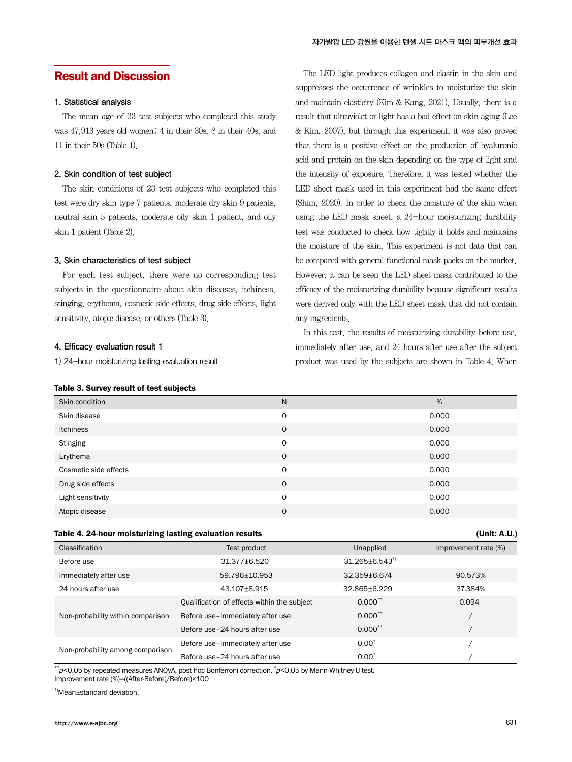## Result and Discussion

### 1. Statistical analysis

The mean age of 23 test subjects who completed this study was 47.913 years old women; 4 in their 30s, 8 in their 40s, and 11 in their 50s (Table 1).

#### 2. Skin condition of test subject

The skin conditions of 23 test subjects who completed this test were dry skin type 7 patients, moderate dry skin 9 patients, neutral skin 5 patients, moderate oily skin 1 patient, and oily skin 1 patient (Table 2).

#### 3. Skin characteristics of test subject

For each test subject, there were no corresponding test subjects in the questionnaire about skin diseases, itchiness, stinging, erythema, cosmetic side effects, drug side effects, light sensitivity, atopic disease, or others (Table 3).

#### 4. Efficacy evaluation result 1

1) 24-hour moisturizing lasting evaluation result

#### Table 3. Survey result of test subjects

The LED light produces collagen and elastin in the skin and suppresses the occurrence of wrinkles to moisturize the skin and maintain elasticity (Kim & Kang, 2021). Usually, there is a result that ultraviolet or light has a bad effect on skin aging (Lee & Kim, 2007), but through this experiment, it was also proved that there is a positive effect on the production of hyaluronic acid and protein on the skin depending on the type of light and the intensity of exposure. Therefore, it was tested whether the LED sheet mask used in this experiment had the same effect (Shim, 2020). In order to check the moisture of the skin when using the LED mask sheet, a 24-hour moisturizing durability test was conducted to check how tightly it holds and maintains the moisture of the skin. This experiment is not data that can be compared with general functional mask packs on the market. However, it can be seen the LED sheet mask contributed to the efficacy of the moisturizing durability because significant results were derived only with the LED sheet mask that did not contain any ingredients.

In this test, the results of moisturizing durability before use, immediately after use, and 24 hours after use after the subject product was used by the subjects are shown in Table 4. When

| Skin condition        | N           | %     |
|-----------------------|-------------|-------|
| Skin disease          | O           | 0.000 |
| Itchiness             | $\mathbf 0$ | 0.000 |
| <b>Stinging</b>       | O           | 0.000 |
| Erythema              | 0           | 0.000 |
| Cosmetic side effects | $\mathbf 0$ | 0.000 |
| Drug side effects     | $\mathbf 0$ | 0.000 |
| Light sensitivity     | $\mathbf 0$ | 0.000 |
| Atopic disease        | $\mathbf 0$ | 0.000 |

#### Table 4. 24-hour moisturizing lasting evaluation results (Unit: A.U.)

| Classification                    | Test product                                | Unapplied              | Improvement rate (%) |
|-----------------------------------|---------------------------------------------|------------------------|----------------------|
| Before use                        | 31.377±6.520                                | $31.265 \pm 6.543^{1}$ |                      |
| Immediately after use             | 59.796+10.953                               | 32.359+6.674           | 90.573%              |
| 24 hours after use                | 43.107+8.915                                | 32.865+6.229           | 37.384%              |
| Non-probability within comparison | Qualification of effects within the subject | $0.000^{**}$           | 0.094                |
|                                   | Before use-Immediately after use            | $0.000^{**}$           |                      |
|                                   | Before use-24 hours after use               | $0.000^{**}$           |                      |
|                                   | Before use-Immediately after use            | $0.00^{+}$             |                      |
| Non-probability among comparison  | Before use-24 hours after use               | $0.00^{+}$             |                      |

 $*_{p< 0.05}$  by repeated measures ANOVA, post hoc Bonferroni correction.  $*_{p< 0.05}$  by Mann-Whitney U test. Improvement rate (%)=((After-Before)/Before)×100

<sup>1)</sup>Mean±standard deviation.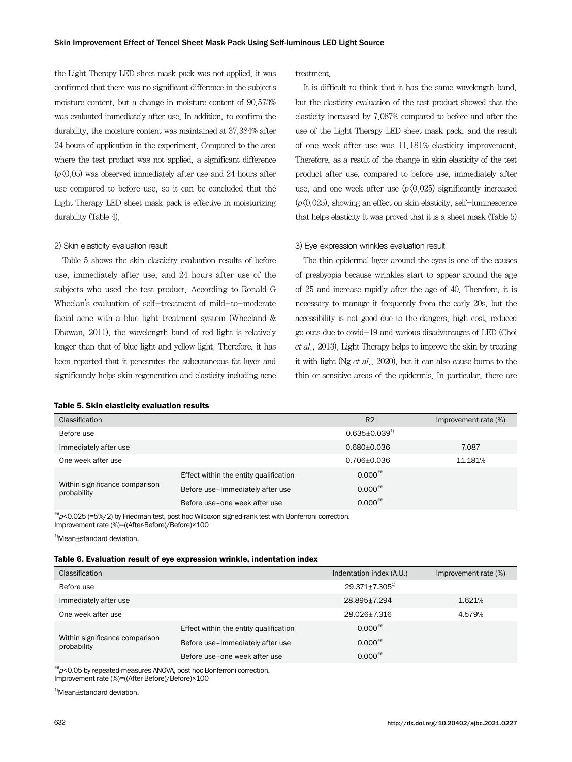the Light Therapy LED sheet mask pack was not applied, it was confirmed that there was no significant difference in the subject's moisture content, but a change in moisture content of 90.573% was evaluated immediately after use. In addition, to confirm the durability, the moisture content was maintained at 37.384% after 24 hours of application in the experiment. Compared to the area where the test product was not applied, a significant difference  $(p(0.05)$  was observed immediately after use and 24 hours after use compared to before use, so it can be concluded that the Light Therapy LED sheet mask pack is effective in moisturizing durability (Table 4).

#### 2) Skin elasticity evaluation result

Table 5 shows the skin elasticity evaluation results of before use, immediately after use, and 24 hours after use of the subjects who used the test product. According to Ronald G Wheelan's evaluation of self-treatment of mild-to-moderate facial acne with a blue light treatment system (Wheeland & Dhawan, 2011), the wavelength band of red light is relatively longer than that of blue light and yellow light. Therefore, it has been reported that it penetrates the subcutaneous fat layer and significantly helps skin regeneration and elasticity including acne

#### Table 5. Skin elasticity evaluation results

treatment.

It is difficult to think that it has the same wavelength band, but the elasticity evaluation of the test product showed that the elasticity increased by 7.087% compared to before and after the use of the Light Therapy LED sheet mask pack, and the result of one week after use was 11.181% elasticity improvement. Therefore, as a result of the change in skin elasticity of the test product after use, compared to before use, immediately after use, and one week after use  $(p\langle 0.025)$  significantly increased  $(p\langle 0.025)$ , showing an effect on skin elasticity, self-luminescence that helps elasticity It was proved that it is a sheet mask (Table 5)

#### 3) Eye expression wrinkles evaluation result

The thin epidermal layer around the eyes is one of the causes of presbyopia because wrinkles start to appear around the age of 25 and increase rapidly after the age of 40. Therefore, it is necessary to manage it frequently from the early 20s, but the accessibility is not good due to the dangers, high cost, reduced go outs due to covid-19 and various disadvantages of LED (Choi et al., 2013). Light Therapy helps to improve the skin by treating it with light (Ng et al., 2020), but it can also cause burns to the thin or sensitive areas of the epidermis. In particular, there are

| Classification                                |                                        | R <sub>2</sub>        | Improvement rate (%) |
|-----------------------------------------------|----------------------------------------|-----------------------|----------------------|
| Before use                                    |                                        | $0.635 \pm 0.039^{1}$ |                      |
| Immediately after use                         |                                        | $0.680 + 0.036$       | 7.087                |
| One week after use                            |                                        | $0.706 \pm 0.036$     | 11.181%              |
|                                               | Effect within the entity qualification | $0.000^{+4}$          |                      |
| Within significance comparison<br>probability | Before use-Immediately after use       | $0.000^{***}$         |                      |
|                                               | Before use-one week after use          | $0.000^{+4}$          |                      |

 $^{**}p$ <0.025 (=5%/2) by Friedman test, post hoc Wilcoxon signed-rank test with Bonferroni correction. Improvement rate (%)=((After-Before)/Before)×100

<sup>1)</sup>Mean±standard deviation.

#### Table 6. Evaluation result of eye expression wrinkle, indentation index

| Classification                                |                                        | Indentation index (A.U.) | Improvement rate (%) |
|-----------------------------------------------|----------------------------------------|--------------------------|----------------------|
| Before use                                    |                                        | $29.371 \pm 7.305^{1}$   |                      |
| Immediately after use                         |                                        | 28.895+7.294             | 1.621%               |
| One week after use                            |                                        | 28.026+7.316             | 4.579%               |
|                                               | Effect within the entity qualification | $0.000^{+4}$             |                      |
| Within significance comparison<br>probability | Before use-Immediately after use       | $0.000^{+4}$             |                      |
|                                               | Before use-one week after use          | $0.000^{+4}$             |                      |

 $^{**}p$ <0.05 by repeated-measures ANOVA, post hoc Bonferroni correction. Improvement rate (%)=((After-Before)/Before)×100

<sup>1)</sup>Mean±standard deviation.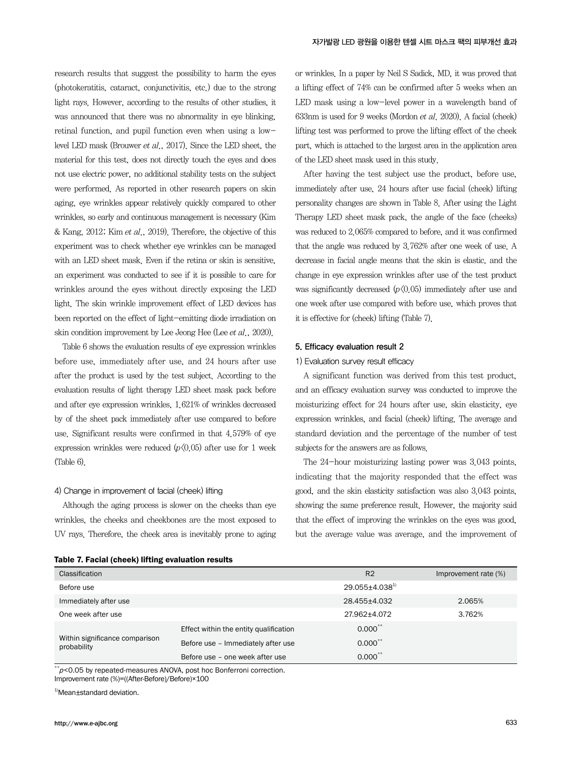research results that suggest the possibility to harm the eyes (photokeratitis, cataract, conjunctivitis, etc.) due to the strong light rays. However, according to the results of other studies, it was announced that there was no abnormality in eye blinking, retinal function, and pupil function even when using a lowlevel LED mask (Brouwer et al., 2017). Since the LED sheet, the material for this test, does not directly touch the eyes and does not use electric power, no additional stability tests on the subject were performed. As reported in other research papers on skin aging, eye wrinkles appear relatively quickly compared to other wrinkles, so early and continuous management is necessary (Kim & Kang, 2012; Kim et al., 2019). Therefore, the objective of this experiment was to check whether eye wrinkles can be managed with an LED sheet mask. Even if the retina or skin is sensitive, an experiment was conducted to see if it is possible to care for wrinkles around the eyes without directly exposing the LED light. The skin wrinkle improvement effect of LED devices has been reported on the effect of light-emitting diode irradiation on skin condition improvement by Lee Jeong Hee (Lee et al., 2020).

Table 6 shows the evaluation results of eye expression wrinkles before use, immediately after use, and 24 hours after use after the product is used by the test subject. According to the evaluation results of light therapy LED sheet mask pack before and after eye expression wrinkles, 1.621% of wrinkles decreased by of the sheet pack immediately after use compared to before use. Significant results were confirmed in that 4.579% of eye expression wrinkles were reduced  $(p\langle 0.05 \rangle)$  after use for 1 week (Table 6).

#### 4) Change in improvement of facial (cheek) lifting

Table 7. Facial (cheek) lifting evaluation results

Although the aging process is slower on the cheeks than eye wrinkles, the cheeks and cheekbones are the most exposed to UV rays. Therefore, the cheek area is inevitably prone to aging or wrinkles. In a paper by Neil S Sadick, MD, it was proved that a lifting effect of 74% can be confirmed after 5 weeks when an LED mask using a low-level power in a wavelength band of 633nm is used for 9 weeks (Mordon et al. 2020). A facial (cheek) lifting test was performed to prove the lifting effect of the cheek part, which is attached to the largest area in the application area of the LED sheet mask used in this study.

After having the test subject use the product, before use, immediately after use, 24 hours after use facial (cheek) lifting personality changes are shown in Table 8. After using the Light Therapy LED sheet mask pack, the angle of the face (cheeks) was reduced to 2.065% compared to before, and it was confirmed that the angle was reduced by 3.762% after one week of use. A decrease in facial angle means that the skin is elastic, and the change in eye expression wrinkles after use of the test product was significantly decreased  $(p(0.05)$  immediately after use and one week after use compared with before use, which proves that it is effective for (cheek) lifting (Table 7).

#### 5. Efficacy evaluation result 2

#### 1) Evaluation survey result efficacy

A significant function was derived from this test product, and an efficacy evaluation survey was conducted to improve the moisturizing effect for 24 hours after use, skin elasticity, eye expression wrinkles, and facial (cheek) lifting. The average and standard deviation and the percentage of the number of test subjects for the answers are as follows.

The 24-hour moisturizing lasting power was 3.043 points, indicating that the majority responded that the effect was good, and the skin elasticity satisfaction was also 3.043 points, showing the same preference result. However, the majority said that the effect of improving the wrinkles on the eyes was good, but the average value was average, and the improvement of

R2 Improvement rate (%)

| Classification |  |  |
|----------------|--|--|
| Before use     |  |  |

| Before use                                    |                                        | 29.055±4.038 <sup>1)</sup> |        |
|-----------------------------------------------|----------------------------------------|----------------------------|--------|
| Immediately after use                         |                                        | 28.455±4.032               | 2.065% |
| One week after use                            |                                        | 27.962+4.072               | 3.762% |
| Within significance comparison<br>probability | Effect within the entity qualification | $0.000$ **                 |        |
|                                               | Before use - Immediately after use     | $0.000$ **                 |        |
|                                               | Before use - one week after use        | $0.000^{**}$               |        |

 $*p$ <0.05 by repeated-measures ANOVA, post hoc Bonferroni correction. Improvement rate (%)=((After-Before)/Before)×100

<sup>1)</sup>Mean+standard deviation.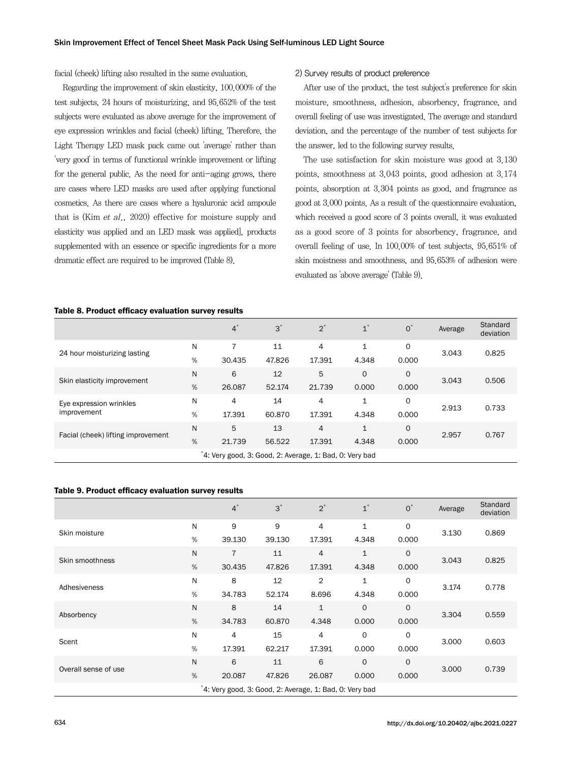facial (cheek) lifting also resulted in the same evaluation.

Regarding the improvement of skin elasticity, 100.000% of the test subjects, 24 hours of moisturizing, and 95.652% of the test subjects were evaluated as above average for the improvement of eye expression wrinkles and facial (cheek) lifting. Therefore, the Light Therapy LED mask pack came out 'average' rather than 'very good' in terms of functional wrinkle improvement or lifting for the general public. As the need for anti-aging grows, there are cases where LED masks are used after applying functional cosmetics. As there are cases where a hyaluronic acid ampoule that is (Kim et al., 2020) effective for moisture supply and elasticity was applied and an LED mask was applied], products supplemented with an essence or specific ingredients for a more dramatic effect are required to be improved (Table 8).

#### 2) Survey results of product preference

After use of the product, the test subject's preference for skin moisture, smoothness, adhesion, absorbency, fragrance, and overall feeling of use was investigated. The average and standard deviation, and the percentage of the number of test subjects for the answer, led to the following survey results.

The use satisfaction for skin moisture was good at 3.130 points, smoothness at 3.043 points, good adhesion at 3.174 points, absorption at 3.304 points as good, and fragrance as good at 3.000 points. As a result of the questionnaire evaluation, which received a good score of 3 points overall, it was evaluated as a good score of 3 points for absorbency, fragrance, and overall feeling of use. In 100.00% of test subjects, 95.651% of skin moistness and smoothness, and 95.653% of adhesion were evaluated as 'above average' (Table 9).

#### Table 8. Product efficacy evaluation survey results

|                                                         |   | $4^*$  | $3^*$  | $2^*$  | $1^*$        | $O^*$       | Average | Standard<br>deviation |
|---------------------------------------------------------|---|--------|--------|--------|--------------|-------------|---------|-----------------------|
| 24 hour moisturizing lasting                            | N | 7      | 11     | 4      | 1            | $\mathbf 0$ | 3.043   | 0.825                 |
|                                                         | % | 30.435 | 47.826 | 17.391 | 4.348        | 0.000       |         |                       |
| Skin elasticity improvement                             | N | 6      | 12     | 5      | $\mathbf 0$  | $\circ$     | 3.043   | 0.506                 |
|                                                         | % | 26.087 | 52.174 | 21.739 | 0.000        | 0.000       |         |                       |
| Eye expression wrinkles                                 | N | 4      | 14     | 4      | $\mathbf{1}$ | $\mathbf 0$ | 2.913   | 0.733                 |
| improvement                                             | % | 17.391 | 60.870 | 17.391 | 4.348        | 0.000       |         |                       |
| Facial (cheek) lifting improvement                      | N | 5      | 13     | 4      | $\mathbf{1}$ | $\circ$     | 2.957   | 0.767                 |
|                                                         | % | 21.739 | 56.522 | 17.391 | 4.348        | 0.000       |         |                       |
| *4: Very good, 3: Good, 2: Average, 1: Bad, 0: Very bad |   |        |        |        |              |             |         |                       |

#### Table 9. Product efficacy evaluation survey results

|                      |   | $4^*$                                                  | $3^*$  | $2^*$          | $1^*$        | $O^*$       | Average | Standard<br>deviation |
|----------------------|---|--------------------------------------------------------|--------|----------------|--------------|-------------|---------|-----------------------|
| Skin moisture        | N | 9                                                      | 9      | 4              | 1            | $\mathbf 0$ | 3.130   | 0.869                 |
|                      | % | 39.130                                                 | 39.130 | 17.391         | 4.348        | 0.000       |         |                       |
| Skin smoothness      | N | $\overline{7}$                                         | 11     | 4              | $\mathbf{1}$ | $\circ$     | 3.043   | 0.825                 |
|                      | % | 30.435                                                 | 47.826 | 17.391         | 4.348        | 0.000       |         |                       |
| Adhesiveness         | N | 8                                                      | 12     | $\overline{2}$ | $\mathbf{1}$ | $\circ$     | 3.174   | 0.778                 |
|                      | % | 34.783                                                 | 52.174 | 8.696          | 4.348        | 0.000       |         |                       |
| Absorbency           | N | 8                                                      | 14     | $\mathbf{1}$   | $\mathbf 0$  | $\mathbf 0$ | 3.304   | 0.559                 |
|                      | % | 34.783                                                 | 60,870 | 4.348          | 0.000        | 0.000       |         |                       |
| Scent                | N | 4                                                      | 15     | 4              | $\circ$      | $\mathbf 0$ | 3.000   | 0.603                 |
|                      | % | 17.391                                                 | 62.217 | 17.391         | 0.000        | 0.000       |         |                       |
|                      | N | 6                                                      | 11     | 6              | $\mathbf 0$  | $\circ$     | 3.000   | 0.739                 |
| Overall sense of use | % | 20.087                                                 | 47.826 | 26.087         | 0.000        | 0.000       |         |                       |
|                      |   | 4: Very good, 3: Good, 2: Average, 1: Bad, 0: Very bad |        |                |              |             |         |                       |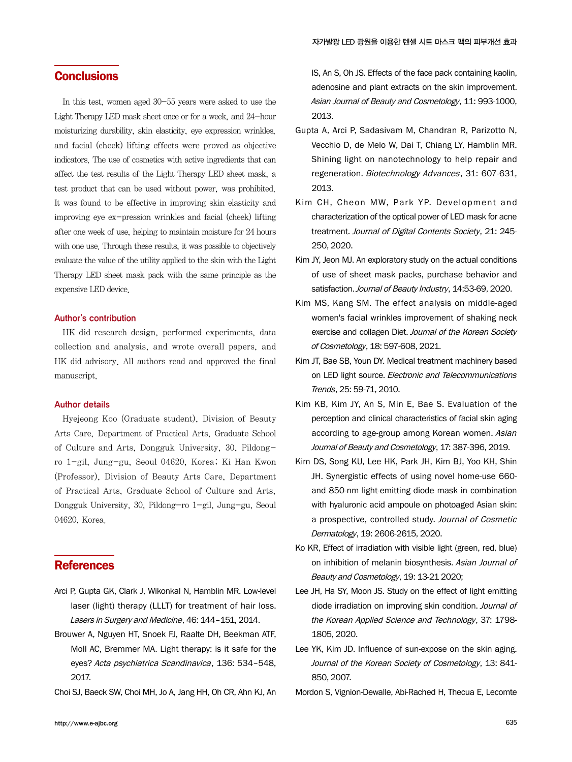## **Conclusions**

In this test, women aged 30-55 years were asked to use the Light Therapy LED mask sheet once or for a week, and 24-hour moisturizing durability, skin elasticity, eye expression wrinkles, and facial (cheek) lifting effects were proved as objective indicators. The use of cosmetics with active ingredients that can affect the test results of the Light Therapy LED sheet mask, a test product that can be used without power, was prohibited. It was found to be effective in improving skin elasticity and improving eye ex-pression wrinkles and facial (cheek) lifting after one week of use, helping to maintain moisture for 24 hours with one use. Through these results, it was possible to objectively evaluate the value of the utility applied to the skin with the Light Therapy LED sheet mask pack with the same principle as the expensive LED device.

#### Author's contribution

HK did research design, performed experiments, data collection and analysis, and wrote overall papers, and HK did advisory. All authors read and approved the final manuscript.

#### Author details

Hyejeong Koo (Graduate student), Division of Beauty Arts Care, Department of Practical Arts, Graduate School of Culture and Arts, Dongguk University, 30, Pildongro 1-gil, Jung-gu, Seoul 04620, Korea; Ki Han Kwon (Professor), Division of Beauty Arts Care, Department of Practical Arts, Graduate School of Culture and Arts, Dongguk University, 30, Pildong-ro 1-gil, Jung-gu, Seoul 04620, Korea.

## **References**

- Arci P, Gupta GK, Clark J, Wikonkal N, Hamblin MR. Low-level laser (light) therapy (LLLT) for treatment of hair loss. Lasers in Surgery and Medicine, 46: 144–151, 2014.
- Brouwer A, Nguyen HT, Snoek FJ, Raalte DH, Beekman ATF, Moll AC, Bremmer MA. Light therapy: is it safe for the eyes? Acta psychiatrica Scandinavica, 136: 534–548, 2017.
- Choi SJ, Baeck SW, Choi MH, Jo A, Jang HH, Oh CR, Ahn KJ, An

IS, An S, Oh JS. Effects of the face pack containing kaolin, adenosine and plant extracts on the skin improvement. Asian Journal of Beauty and Cosmetology, 11: 993-1000, 2013.

- Gupta A, Arci P, Sadasivam M, Chandran R, Parizotto N, Vecchio D, de Melo W, Dai T, Chiang LY, Hamblin MR. Shining light on nanotechnology to help repair and regeneration. Biotechnology Advances, 31: 607-631, 2013.
- Kim CH, Cheon MW, Park YP. Development and characterization of the optical power of LED mask for acne treatment. Journal of Digital Contents Society, 21: 245- 250, 2020.
- Kim JY, Jeon MJ. An exploratory study on the actual conditions of use of sheet mask packs, purchase behavior and satisfaction. Journal of Beauty Industry, 14:53-69, 2020.
- Kim MS, Kang SM. The effect analysis on middle-aged women's facial wrinkles improvement of shaking neck exercise and collagen Diet. Journal of the Korean Society of Cosmetology, 18: 597-608, 2021.
- Kim JT, Bae SB, Youn DY. Medical treatment machinery based on LED light source. Electronic and Telecommunications Trends, 25: 59-71, 2010.
- Kim KB, Kim JY, An S, Min E, Bae S. Evaluation of the perception and clinical characteristics of facial skin aging according to age-group among Korean women. Asian Journal of Beauty and Cosmetology, 17: 387-396, 2019.
- Kim DS, Song KU, Lee HK, Park JH, Kim BJ, Yoo KH, Shin JH. Synergistic effects of using novel home-use 660 and 850-nm light-emitting diode mask in combination with hyaluronic acid ampoule on photoaged Asian skin: a prospective, controlled study. Journal of Cosmetic Dermatology, 19: 2606-2615, 2020.
- Ko KR, Effect of irradiation with visible light (green, red, blue) on inhibition of melanin biosynthesis. Asian Journal of Beauty and Cosmetology, 19: 13-21 2020;
- Lee JH, Ha SY, Moon JS. Study on the effect of light emitting diode irradiation on improving skin condition. Journal of the Korean Applied Science and Technology, 37: 1798- 1805, 2020.
- Lee YK, Kim JD. Influence of sun-expose on the skin aging. Journal of the Korean Society of Cosmetology, 13: 841- 850, 2007.
- Mordon S, Vignion-Dewalle, Abi-Rached H, Thecua E, Lecomte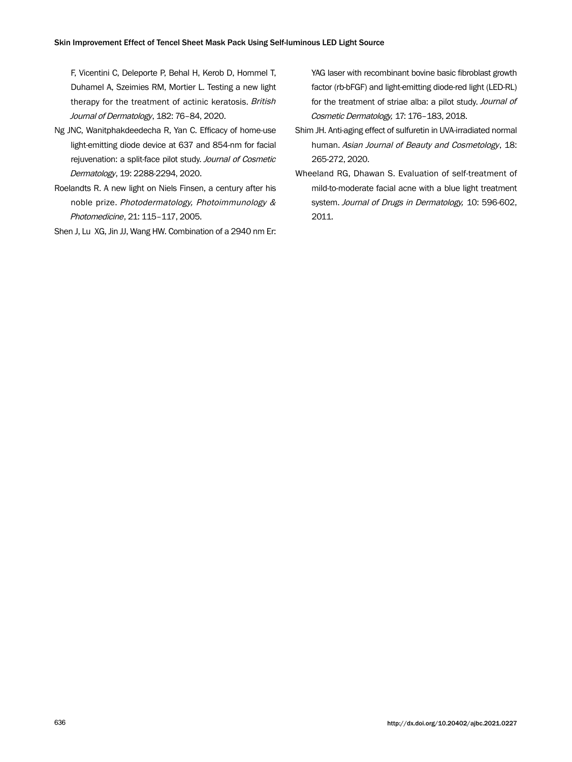F, Vicentini C, Deleporte P, Behal H, Kerob D, Hommel T, Duhamel A, Szeimies RM, Mortier L. Testing a new light therapy for the treatment of actinic keratosis. British Journal of Dermatology, 182: 76–84, 2020.

- Ng JNC, Wanitphakdeedecha R, Yan C. Efficacy of home-use light-emitting diode device at 637 and 854-nm for facial rejuvenation: a split-face pilot study. Journal of Cosmetic Dermatology, 19: 2288-2294, 2020.
- Roelandts R. A new light on Niels Finsen, a century after his noble prize. Photodermatology, Photoimmunology & Photomedicine, 21: 115–117, 2005.
- Shen J, Lu XG, Jin JJ, Wang HW. Combination of a 2940 nm Er:

YAG laser with recombinant bovine basic fibroblast growth factor (rb-bFGF) and light-emitting diode-red light (LED-RL) for the treatment of striae alba: a pilot study. Journal of Cosmetic Dermatology, 17: 176–183, 2018.

- Shim JH. Anti-aging effect of sulfuretin in UVA-irradiated normal human. Asian Journal of Beauty and Cosmetology, 18: 265-272, 2020.
- Wheeland RG, Dhawan S. Evaluation of self-treatment of mild-to-moderate facial acne with a blue light treatment system. Journal of Drugs in Dermatology, 10: 596-602, 2011.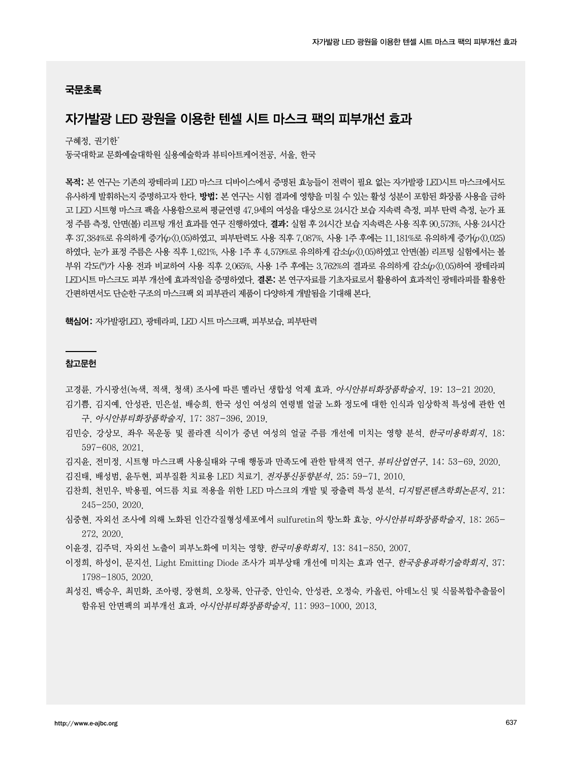### 국문초록

## 자가발광 LED 광원을 이용한 텐셀 시트 마스크 팩의 피부개선 효과

구혜정, 권기한\*

동국대학교 문화예술대학원 실용예술학과 뷰티아트케어전공, 서울, 한국

목적: 본 연구는 기존의 광테라피 LED 마스크 디바이스에서 증명된 효능들이 전력이 필요 없는 자가발광 LED시트 마스크에서도 유사하게 발휘하는지 증명하고자 한다. 방법: 본 연구는 시험 결과에 영향을 미칠 수 있는 활성 성분이 포함된 화장품 사용을 금하 고 LED 시트형 마스크 팩을 사용함으로써 평균연령 47.9세의 여성을 대상으로 24시간 보습 지속력 측정, 피부 탄력 측정, 눈가 표 정 주름 측정, 안면(볼) 리프팅 개선 효과를 연구 진행하였다. 결과: 실험 후 24시간 보습 지속력은 사용 직후 90.573%, 사용 24시간 후 37.384%로 유의하게 증가(p<0.05)하였고, 피부탄력도 사용 직후 7.087%, 사용 1주 후에는 11.181%로 유의하게 증가(p<0.025) 하였다. 눈가 표정 주름은 사용 직후 1.621%, 사용 1주 후 4.579%로 유의하게 감소(p<0.05)하였고 안면(볼) 리프팅 실험에서는 볼 부위 각도(°)가 사용 전과 비교하여 사용 직후 2.065%, 사용 1주 후에는 3.762%의 결과로 유의하게 감소(p<0.05)하여 광테라피 LED시트 마스크도 피부 개선에 효과적임을 증명하였다. 결론: 본 연구자료를 기초자료로서 활용하여 효과적인 광테라피를 활용한 간편하면서도 단순한 구조의 마스크팩 외 피부관리 제품이 다양하게 개발됨을 기대해 본다.

핵심어: 자가발광LED, 광테라피, LED 시트 마스크팩, 피부보습, 피부탄력

#### 참고문헌

고경륜. 가시광선(녹색, 적색, 청색) 조사에 따른 멜라닌 생합성 억제 효과. 아시안뷰티화장품학술지, 19: 13-21 2020.

- 김기쁨, 김지예, 안성관, 민은설, 배승희. 한국 성인 여성의 연령별 얼굴 노화 정도에 대한 인식과 임상학적 특성에 관한 연 구. 아시안뷰티화장품학술지, 17: 387-396, 2019.
- 김민승, 강상모. 좌우 목운동 및 콜라겐 식이가 중년 여성의 얼굴 주름 개선에 미치는 영향 분석. 한국미용학회지, 18: 597-608, 2021.
- 김지윤, 전미정. 시트형 마스크팩 사용실태와 구매 행동과 만족도에 관한 탐색적 연구. 뷰티산업연구, 14: 53-69, 2020.
- 김진태, 배성범, 윤두현, 피부질환 치료용 LED 치료기. 전자통신동향분석, 25: 59-71, 2010.
- 김찬희, 천민우, 박용필, 여드름 치료 적용을 위한 LED 마스크의 개발 및 광출력 특성 분석. 디지털콘텐츠학회논문지, 21: 245-250, 2020.
- 심중현. 자외선 조사에 의해 노화된 인간각질형성세포에서 sulfuretin의 항노화 효능. *아시안뷰티화장품학술지*, 18: 265-272, 2020.

이윤경, 김주덕. 자외선 노출이 피부노화에 미치는 영향. 한국미용학회지, 13: 841-850, 2007.

- 이정희, 하성이, 문지선. Light Emitting Diode 조사가 피부상태 개선에 미치는 효과 연구. *한국응용과학기술학회지*, 37: 1798-1805, 2020.
- 최성진, 백승우, 최민화, 조아령, 장현희, 오창록, 안규중, 안인숙, 안성관, 오정숙. 카올린, 아데노신 및 식물복합추출물이 함유된 안면팩의 피부개선 효과. 아시안뷰티화장품학술지, 11: 993-1000, 2013.